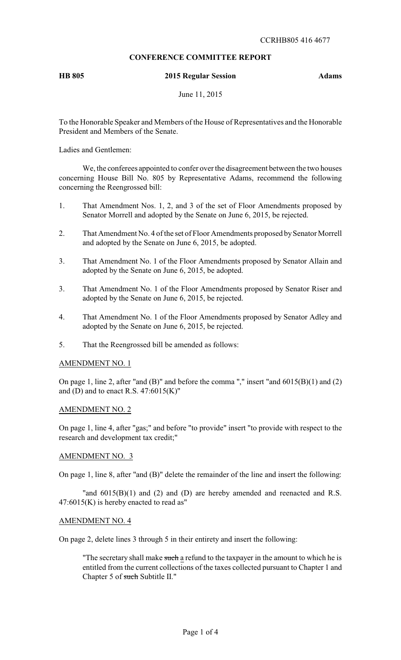# **CONFERENCE COMMITTEE REPORT**

# **HB 805 2015 Regular Session Adams**

June 11, 2015

To the Honorable Speaker and Members of the House of Representatives and the Honorable President and Members of the Senate.

Ladies and Gentlemen:

We, the conferees appointed to confer over the disagreement between the two houses concerning House Bill No. 805 by Representative Adams, recommend the following concerning the Reengrossed bill:

- 1. That Amendment Nos. 1, 2, and 3 of the set of Floor Amendments proposed by Senator Morrell and adopted by the Senate on June 6, 2015, be rejected.
- 2. That Amendment No. 4 of the set of Floor Amendments proposed by Senator Morrell and adopted by the Senate on June 6, 2015, be adopted.
- 3. That Amendment No. 1 of the Floor Amendments proposed by Senator Allain and adopted by the Senate on June 6, 2015, be adopted.
- 3. That Amendment No. 1 of the Floor Amendments proposed by Senator Riser and adopted by the Senate on June 6, 2015, be rejected.
- 4. That Amendment No. 1 of the Floor Amendments proposed by Senator Adley and adopted by the Senate on June 6, 2015, be rejected.
- 5. That the Reengrossed bill be amended as follows:

## AMENDMENT NO. 1

On page 1, line 2, after "and  $(B)$ " and before the comma "," insert "and  $6015(B)(1)$  and  $(2)$ and (D) and to enact R.S.  $47:6015(K)$ "

#### AMENDMENT NO. 2

On page 1, line 4, after "gas;" and before "to provide" insert "to provide with respect to the research and development tax credit;"

### AMENDMENT NO. 3

On page 1, line 8, after "and (B)" delete the remainder of the line and insert the following:

"and  $6015(B)(1)$  and (2) and (D) are hereby amended and reenacted and R.S.  $47:6015(K)$  is hereby enacted to read as"

#### AMENDMENT NO. 4

On page 2, delete lines 3 through 5 in their entirety and insert the following:

"The secretary shall make such a refund to the taxpayer in the amount to which he is entitled from the current collections of the taxes collected pursuant to Chapter 1 and Chapter 5 of such Subtitle II."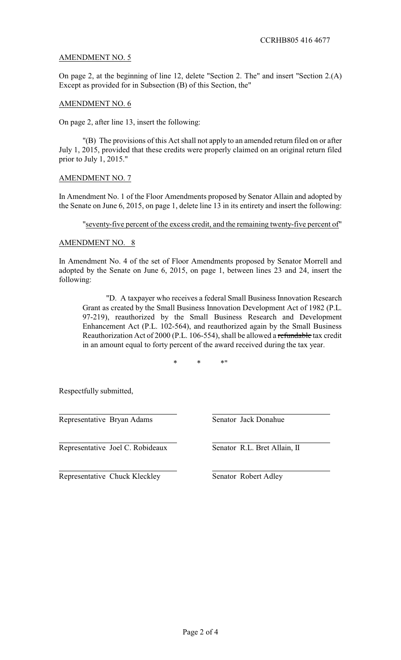# AMENDMENT NO. 5

On page 2, at the beginning of line 12, delete "Section 2. The" and insert "Section 2.(A) Except as provided for in Subsection (B) of this Section, the"

# AMENDMENT NO. 6

On page 2, after line 13, insert the following:

"(B) The provisions of this Act shall not apply to an amended return filed on or after July 1, 2015, provided that these credits were properly claimed on an original return filed prior to July 1, 2015."

# AMENDMENT NO. 7

In Amendment No. 1 of the Floor Amendments proposed by Senator Allain and adopted by the Senate on June 6, 2015, on page 1, delete line 13 in its entirety and insert the following:

### "seventy-five percent of the excess credit, and the remaining twenty-five percent of"

## AMENDMENT NO. 8

In Amendment No. 4 of the set of Floor Amendments proposed by Senator Morrell and adopted by the Senate on June 6, 2015, on page 1, between lines 23 and 24, insert the following:

"D. A taxpayer who receives a federal Small Business Innovation Research Grant as created by the Small Business Innovation Development Act of 1982 (P.L. 97-219), reauthorized by the Small Business Research and Development Enhancement Act (P.L. 102-564), and reauthorized again by the Small Business Reauthorization Act of 2000 (P.L. 106-554), shall be allowed a refundable tax credit in an amount equal to forty percent of the award received during the tax year.

\* \* \*"

Respectfully submitted,

Representative Bryan Adams Senator Jack Donahue

Representative Joel C. Robideaux Senator R.L. Bret Allain, II

Representative Chuck Kleckley Senator Robert Adley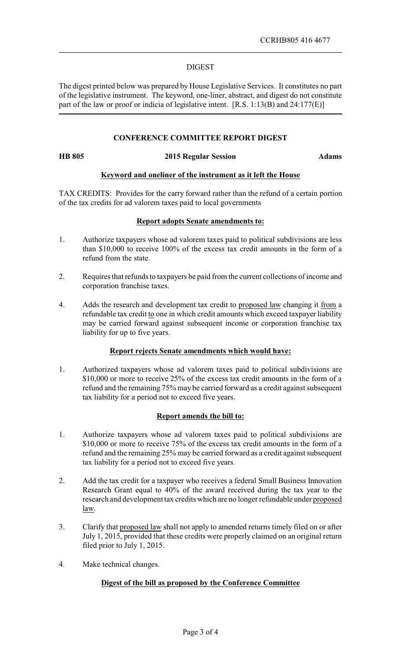### DIGEST

The digest printed below was prepared by House Legislative Services. It constitutes no part of the legislative instrument. The keyword, one-liner, abstract, and digest do not constitute part of the law or proof or indicia of legislative intent. [R.S. 1:13(B) and 24:177(E)]

# **CONFERENCE COMMITTEE REPORT DIGEST**

#### **HB 805 2015 Regular Session Adams**

## **Keyword and oneliner of the instrument as it left the House**

TAX CREDITS: Provides for the carry forward rather than the refund of a certain portion of the tax credits for ad valorem taxes paid to local governments

#### **Report adopts Senate amendments to:**

- 1. Authorize taxpayers whose ad valorem taxes paid to political subdivisions are less than \$10,000 to receive 100% of the excess tax credit amounts in the form of a refund from the state.
- 2. Requires that refunds to taxpayers be paid from the current collections of income and corporation franchise taxes.
- 4. Adds the research and development tax credit to proposed law changing it from a refundable tax credit to one in which credit amounts which exceed taxpayer liability may be carried forward against subsequent income or corporation franchise tax liability for up to five years.

## **Report rejects Senate amendments which would have:**

1. Authorized taxpayers whose ad valorem taxes paid to political subdivisions are \$10,000 or more to receive 25% of the excess tax credit amounts in the form of a refund and the remaining 75% may be carried forward as a credit against subsequent tax liability for a period not to exceed five years.

# **Report amends the bill to:**

- 1. Authorize taxpayers whose ad valorem taxes paid to political subdivisions are \$10,000 or more to receive 75% of the excess tax credit amounts in the form of a refund and the remaining 25% may be carried forward as a credit against subsequent tax liability for a period not to exceed five years.
- 2. Add the tax credit for a taxpayer who receives a federal Small Business Innovation Research Grant equal to 40% of the award received during the tax year to the research and development tax credits which are no longer refundable under proposed law.
- 3. Clarify that proposed law shall not apply to amended returns timely filed on or after July 1, 2015, provided that these credits were properly claimed on an original return filed prior to July 1, 2015.
- 4. Make technical changes.

## **Digest of the bill as proposed by the Conference Committee**